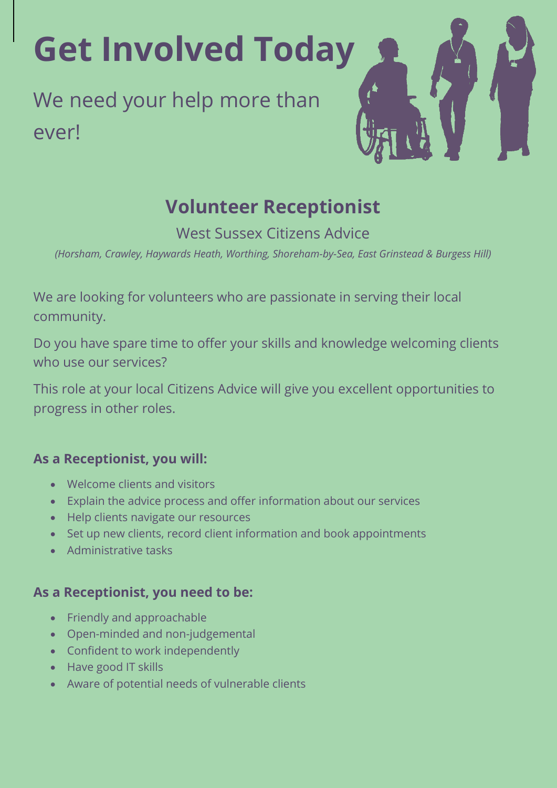**Get Involved Today**

We need your help more than ever!

# **Volunteer Receptionist**

West Sussex Citizens Advice

*(Horsham, Crawley, Haywards Heath, Worthing, Shoreham-by-Sea, East Grinstead & Burgess Hill)*

We are looking for volunteers who are passionate in serving their local community.

Do you have spare time to offer your skills and knowledge welcoming clients who use our services?

This role at your local Citizens Advice will give you excellent opportunities to progress in other roles.

# **As a Receptionist, you will:**

- Welcome clients and visitors
- Explain the advice process and offer information about our services
- Help clients navigate our resources
- Set up new clients, record client information and book appointments
- Administrative tasks

# **As a Receptionist, you need to be:**

- Friendly and approachable
- Open-minded and non-judgemental
- Confident to work independently
- Have good IT skills
- Aware of potential needs of vulnerable clients